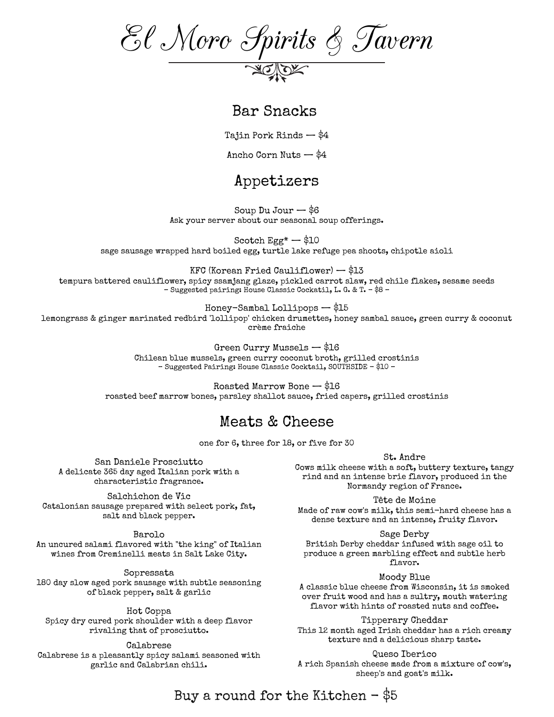El Moro Spirits & Tavern

#### Bar Snacks

Tajin Pork Rinds — \$4

Ancho Corn Nuts — \$4

## Appetizers

Soup  $Du$  Jour  $-$  \$6 Ask your server about our seasonal soup offerings.

Scotch  $Egg^*$   $-$  \$10 sage sausage wrapped hard boiled egg, turtle lake refuge pea shoots, chipotle aioli

KFC (Korean Fried Cauliflower) — \$13 tempura battered cauliflower, spicy ssamjang glaze, pickled carrot slaw, red chile flakes, sesame seeds – Suggested pairing: House Classic Cockatil, L. G. & T. - \$8 –

Honey-Sambal Lollipops — \$15 lemongrass & ginger marinated redbird 'lollipop' chicken drumettes, honey sambal sauce, green curry & coconut crème fraiche

> Green Curry Mussels — \$16 Chilean blue mussels, green curry coconut broth, grilled crostinis – Suggested Pairing: House Classic Cocktail, SOUTHSIDE - \$10 –

Roasted Marrow Bone — \$16 roasted beef marrow bones, parsley shallot sauce, fried capers, grilled crostinis

### Meats & Cheese

one for 6, three for 18, or five for 30

San Daniele Prosciutto A delicate 365 day aged Italian pork with a characteristic fragrance.

Salchichon de Vic Catalonian sausage prepared with select pork, fat, salt and black pepper.

Barolo

An uncured salami flavored with "the king" of Italian wines from Creminelli meats in Salt Lake City.

Sopressata 180 day slow aged pork sausage with subtle seasoning of black pepper, salt & garlic

Spicy dry cured pork shoulder with a deep flavor rivaling that of prosciutto.

Calabrese is a pleasantly spicy salami seasoned with garlic and Calabrian chili.

St. Andre

Cows milk cheese with a soft, buttery texture, tangy rind and an intense brie flavor, produced in the Normandy region of France.

Tête de Moine

Made of raw cow's milk, this semi-hard cheese has a dense texture and an intense, fruity flavor.

Sage Derby British Derby cheddar infused with sage oil to produce a green marbling effect and subtle herb flavor.

Moody Blue

A classic blue cheese from Wisconsin, it is smoked over fruit wood and has a sultry, mouth watering flavor with hints of roasted nuts and coffee. Hot Coppa

Tipperary Cheddar This 12 month aged Irish cheddar has a rich creamy texture and a delicious sharp taste. Calabrese

Queso Iberico

A rich Spanish cheese made from a mixture of cow's, sheep's and goat's milk.

Buy a round for the Kitchen  $-$  \$5